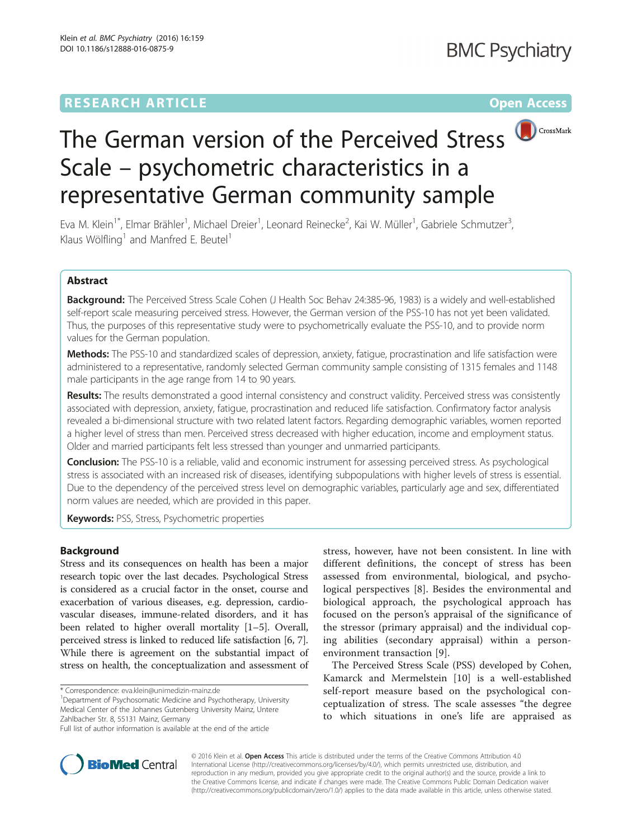# **RESEARCH ARTICLE Example 2014 12:30 The Contract of Contract ACCESS**



# The German version of the Perceived Stress Scale – psychometric characteristics in a representative German community sample

Eva M. Klein<sup>1\*</sup>, Elmar Brähler<sup>1</sup>, Michael Dreier<sup>1</sup>, Leonard Reinecke<sup>2</sup>, Kai W. Müller<sup>1</sup>, Gabriele Schmutzer<sup>3</sup> , Klaus Wölfling<sup>1</sup> and Manfred E. Beutel<sup>1</sup>

# Abstract

Background: The Perceived Stress Scale Cohen (J Health Soc Behav 24:385-96, 1983) is a widely and well-established self-report scale measuring perceived stress. However, the German version of the PSS-10 has not yet been validated. Thus, the purposes of this representative study were to psychometrically evaluate the PSS-10, and to provide norm values for the German population.

Methods: The PSS-10 and standardized scales of depression, anxiety, fatique, procrastination and life satisfaction were administered to a representative, randomly selected German community sample consisting of 1315 females and 1148 male participants in the age range from 14 to 90 years.

Results: The results demonstrated a good internal consistency and construct validity. Perceived stress was consistently associated with depression, anxiety, fatigue, procrastination and reduced life satisfaction. Confirmatory factor analysis revealed a bi-dimensional structure with two related latent factors. Regarding demographic variables, women reported a higher level of stress than men. Perceived stress decreased with higher education, income and employment status. Older and married participants felt less stressed than younger and unmarried participants.

Conclusion: The PSS-10 is a reliable, valid and economic instrument for assessing perceived stress. As psychological stress is associated with an increased risk of diseases, identifying subpopulations with higher levels of stress is essential. Due to the dependency of the perceived stress level on demographic variables, particularly age and sex, differentiated norm values are needed, which are provided in this paper.

Keywords: PSS, Stress, Psychometric properties

### Background

Stress and its consequences on health has been a major research topic over the last decades. Psychological Stress is considered as a crucial factor in the onset, course and exacerbation of various diseases, e.g. depression, cardiovascular diseases, immune-related disorders, and it has been related to higher overall mortality [\[1](#page-8-0)–[5](#page-8-0)]. Overall, perceived stress is linked to reduced life satisfaction [[6](#page-8-0), [7](#page-8-0)]. While there is agreement on the substantial impact of stress on health, the conceptualization and assessment of

\* Correspondence: [eva.klein@unimedizin-mainz.de](mailto:eva.klein@unimedizin-mainz.de) <sup>1</sup>

Department of Psychosomatic Medicine and Psychotherapy, University Medical Center of the Johannes Gutenberg University Mainz, Untere Zahlbacher Str. 8, 55131 Mainz, Germany Full list of author information is available at the end of the article

stress, however, have not been consistent. In line with different definitions, the concept of stress has been assessed from environmental, biological, and psychological perspectives [\[8](#page-8-0)]. Besides the environmental and biological approach, the psychological approach has focused on the person's appraisal of the significance of the stressor (primary appraisal) and the individual coping abilities (secondary appraisal) within a personenvironment transaction [[9\]](#page-8-0).

The Perceived Stress Scale (PSS) developed by Cohen, Kamarck and Mermelstein [[10\]](#page-8-0) is a well-established self-report measure based on the psychological conceptualization of stress. The scale assesses "the degree to which situations in one's life are appraised as



© 2016 Klein et al. Open Access This article is distributed under the terms of the Creative Commons Attribution 4.0 International License [\(http://creativecommons.org/licenses/by/4.0/](http://creativecommons.org/licenses/by/4.0/)), which permits unrestricted use, distribution, and reproduction in any medium, provided you give appropriate credit to the original author(s) and the source, provide a link to the Creative Commons license, and indicate if changes were made. The Creative Commons Public Domain Dedication waiver [\(http://creativecommons.org/publicdomain/zero/1.0/](http://creativecommons.org/publicdomain/zero/1.0/)) applies to the data made available in this article, unless otherwise stated.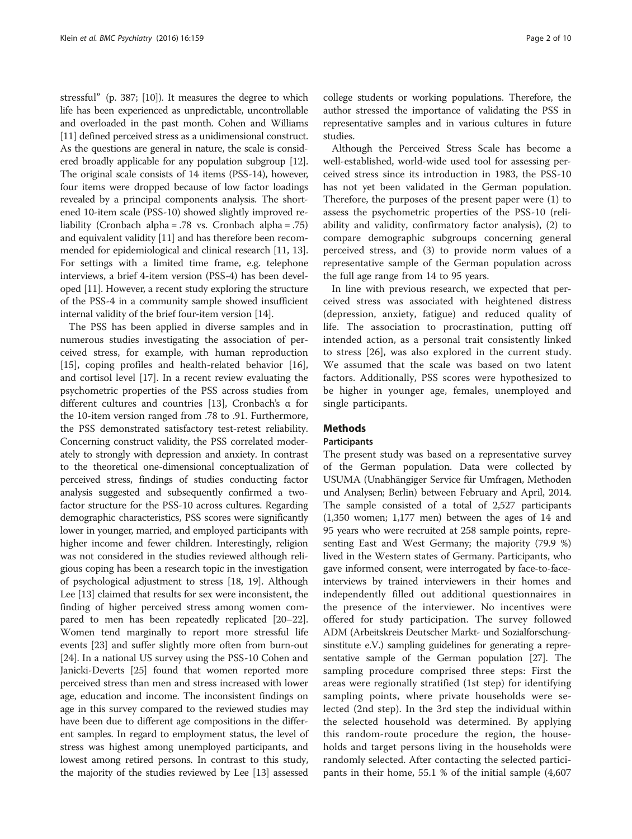stressful" (p. 387; [[10](#page-8-0)]). It measures the degree to which life has been experienced as unpredictable, uncontrollable and overloaded in the past month. Cohen and Williams [[11](#page-8-0)] defined perceived stress as a unidimensional construct. As the questions are general in nature, the scale is considered broadly applicable for any population subgroup [\[12](#page-8-0)]. The original scale consists of 14 items (PSS-14), however, four items were dropped because of low factor loadings revealed by a principal components analysis. The shortened 10-item scale (PSS-10) showed slightly improved reliability (Cronbach alpha = .78 vs. Cronbach alpha = .75) and equivalent validity [\[11\]](#page-8-0) and has therefore been recommended for epidemiological and clinical research [[11](#page-8-0), [13](#page-8-0)]. For settings with a limited time frame, e.g. telephone interviews, a brief 4-item version (PSS-4) has been developed [\[11\]](#page-8-0). However, a recent study exploring the structure of the PSS-4 in a community sample showed insufficient internal validity of the brief four-item version [\[14\]](#page-8-0).

The PSS has been applied in diverse samples and in numerous studies investigating the association of perceived stress, for example, with human reproduction [[15\]](#page-8-0), coping profiles and health-related behavior [\[16](#page-8-0)], and cortisol level [\[17](#page-8-0)]. In a recent review evaluating the psychometric properties of the PSS across studies from different cultures and countries [\[13\]](#page-8-0), Cronbach's α for the 10-item version ranged from .78 to .91. Furthermore, the PSS demonstrated satisfactory test-retest reliability. Concerning construct validity, the PSS correlated moderately to strongly with depression and anxiety. In contrast to the theoretical one-dimensional conceptualization of perceived stress, findings of studies conducting factor analysis suggested and subsequently confirmed a twofactor structure for the PSS-10 across cultures. Regarding demographic characteristics, PSS scores were significantly lower in younger, married, and employed participants with higher income and fewer children. Interestingly, religion was not considered in the studies reviewed although religious coping has been a research topic in the investigation of psychological adjustment to stress [[18](#page-8-0), [19](#page-8-0)]. Although Lee [[13](#page-8-0)] claimed that results for sex were inconsistent, the finding of higher perceived stress among women compared to men has been repeatedly replicated [\[20](#page-8-0)–[22](#page-8-0)]. Women tend marginally to report more stressful life events [[23\]](#page-8-0) and suffer slightly more often from burn-out [[24](#page-8-0)]. In a national US survey using the PSS-10 Cohen and Janicki-Deverts [\[25\]](#page-8-0) found that women reported more perceived stress than men and stress increased with lower age, education and income. The inconsistent findings on age in this survey compared to the reviewed studies may have been due to different age compositions in the different samples. In regard to employment status, the level of stress was highest among unemployed participants, and lowest among retired persons. In contrast to this study, the majority of the studies reviewed by Lee [\[13\]](#page-8-0) assessed college students or working populations. Therefore, the author stressed the importance of validating the PSS in representative samples and in various cultures in future studies.

Although the Perceived Stress Scale has become a well-established, world-wide used tool for assessing perceived stress since its introduction in 1983, the PSS-10 has not yet been validated in the German population. Therefore, the purposes of the present paper were (1) to assess the psychometric properties of the PSS-10 (reliability and validity, confirmatory factor analysis), (2) to compare demographic subgroups concerning general perceived stress, and (3) to provide norm values of a representative sample of the German population across the full age range from 14 to 95 years.

In line with previous research, we expected that perceived stress was associated with heightened distress (depression, anxiety, fatigue) and reduced quality of life. The association to procrastination, putting off intended action, as a personal trait consistently linked to stress [\[26](#page-8-0)], was also explored in the current study. We assumed that the scale was based on two latent factors. Additionally, PSS scores were hypothesized to be higher in younger age, females, unemployed and single participants.

### **Methods**

#### Participants

The present study was based on a representative survey of the German population. Data were collected by USUMA (Unabhängiger Service für Umfragen, Methoden und Analysen; Berlin) between February and April, 2014. The sample consisted of a total of 2,527 participants (1,350 women; 1,177 men) between the ages of 14 and 95 years who were recruited at 258 sample points, representing East and West Germany; the majority (79.9 %) lived in the Western states of Germany. Participants, who gave informed consent, were interrogated by face-to-faceinterviews by trained interviewers in their homes and independently filled out additional questionnaires in the presence of the interviewer. No incentives were offered for study participation. The survey followed ADM (Arbeitskreis Deutscher Markt- und Sozialforschungsinstitute e.V.) sampling guidelines for generating a representative sample of the German population [\[27](#page-8-0)]. The sampling procedure comprised three steps: First the areas were regionally stratified (1st step) for identifying sampling points, where private households were selected (2nd step). In the 3rd step the individual within the selected household was determined. By applying this random-route procedure the region, the households and target persons living in the households were randomly selected. After contacting the selected participants in their home, 55.1 % of the initial sample (4,607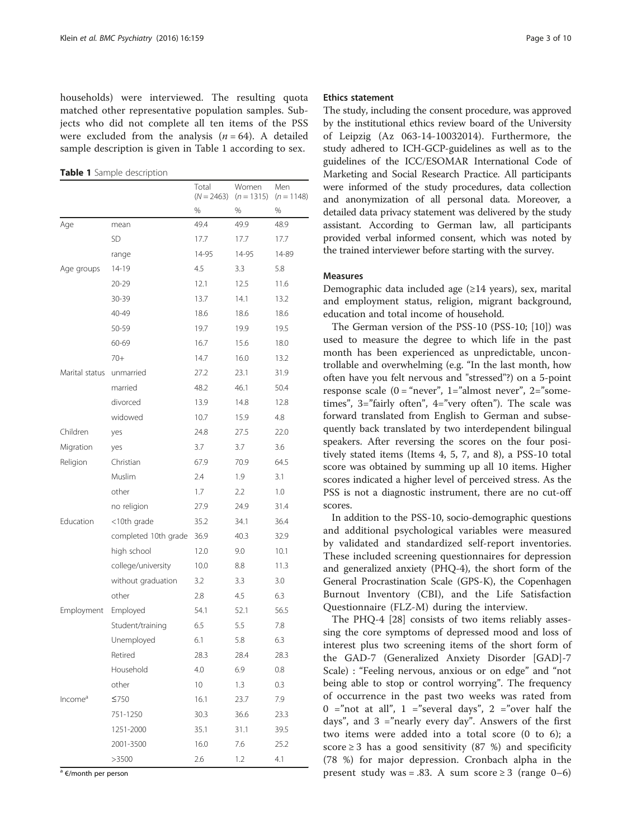households) were interviewed. The resulting quota matched other representative population samples. Subjects who did not complete all ten items of the PSS were excluded from the analysis  $(n = 64)$ . A detailed sample description is given in Table 1 according to sex.

Table 1 Sample description

|                     |                      | Total<br>$(N = 2463)$ | Women<br>$(n = 1315)$ | Men<br>$(n = 1148)$ |
|---------------------|----------------------|-----------------------|-----------------------|---------------------|
|                     |                      | %                     | %                     | %                   |
| Age                 | mean                 | 49.4                  | 49.9                  | 48.9                |
| SD                  |                      | 17.7                  | 17.7                  | 17.7                |
|                     | range                | 14-95                 | 14-95                 | 14-89               |
| Age groups          | 14-19                | 4.5                   | 3.3                   | 5.8                 |
|                     | 20-29                | 12.1                  | 12.5                  | 11.6                |
|                     | 30-39                | 13.7                  | 14.1                  | 13.2                |
|                     | 40-49                | 18.6                  | 18.6                  | 18.6                |
|                     | 50-59                | 19.7                  | 19.9                  | 19.5                |
|                     | 60-69                | 16.7                  | 15.6                  | 18.0                |
|                     | $70+$                | 14.7                  | 16.0                  | 13.2                |
| Marital status      | unmarried            | 27.2                  | 23.1                  | 31.9                |
|                     | married              | 48.2                  | 46.1                  | 50.4                |
|                     | divorced             | 13.9                  | 14.8                  | 12.8                |
|                     | widowed              | 10.7                  | 15.9                  | 4.8                 |
| Children            | yes                  | 24.8                  | 27.5                  | 22.0                |
| Migration           | yes                  | 3.7                   | 3.7                   | 3.6                 |
| Religion            | Christian            | 67.9                  | 70.9                  | 64.5                |
|                     | Muslim               | 2.4                   | 1.9                   | 3.1                 |
|                     | other                | 1.7                   | 2.2                   | 1.0                 |
|                     | no religion          | 27.9                  | 24.9                  | 31.4                |
| Education           | <10th grade          | 35.2                  | 34.1                  | 36.4                |
|                     | completed 10th grade | 36.9                  | 40.3                  | 32.9                |
|                     | high school          | 12.0                  | 9.0                   | 10.1                |
|                     | college/university   | 10.0                  | 8.8                   | 11.3                |
|                     | without graduation   | 3.2                   | 3.3                   | 3.0                 |
|                     | other                | 2.8                   | 4.5                   | 6.3                 |
| Employment          | Employed             | 54.1                  | 52.1                  | 56.5                |
|                     | Student/training     | 6.5                   | 5.5                   | 7.8                 |
|                     | Unemployed           | 6.1                   | 5.8                   | 6.3                 |
|                     | Retired              | 28.3                  | 28.4                  | 28.3                |
|                     | Household            | 4.0                   | 6.9                   | 0.8                 |
|                     | other                | 10                    | 1.3                   | 0.3                 |
| Income <sup>a</sup> | $\leq 750$           | 16.1                  | 23.7                  | 7.9                 |
|                     | 751-1250             | 30.3                  | 36.6                  | 23.3                |
|                     | 1251-2000            | 35.1                  | 31.1                  | 39.5                |
|                     | 2001-3500            | 16.0                  | 7.6                   | 25.2                |
|                     | >3500                | 2.6                   | 1.2                   | 4.1                 |

<sup>a</sup> €/month per person

#### Ethics statement

The study, including the consent procedure, was approved by the institutional ethics review board of the University of Leipzig (Az 063-14-10032014). Furthermore, the study adhered to ICH-GCP-guidelines as well as to the guidelines of the ICC/ESOMAR International Code of Marketing and Social Research Practice. All participants were informed of the study procedures, data collection and anonymization of all personal data. Moreover, a detailed data privacy statement was delivered by the study assistant. According to German law, all participants provided verbal informed consent, which was noted by the trained interviewer before starting with the survey.

#### Measures

Demographic data included age (≥14 years), sex, marital and employment status, religion, migrant background, education and total income of household.

The German version of the PSS-10 (PSS-10; [[10\]](#page-8-0)) was used to measure the degree to which life in the past month has been experienced as unpredictable, uncontrollable and overwhelming (e.g. "In the last month, how often have you felt nervous and "stressed"?) on a 5-point response scale  $(0 = "never", 1="almost never", 2="some$ times", 3="fairly often", 4="very often"). The scale was forward translated from English to German and subsequently back translated by two interdependent bilingual speakers. After reversing the scores on the four positively stated items (Items 4, 5, 7, and 8), a PSS-10 total score was obtained by summing up all 10 items. Higher scores indicated a higher level of perceived stress. As the PSS is not a diagnostic instrument, there are no cut-off scores.

In addition to the PSS-10, socio-demographic questions and additional psychological variables were measured by validated and standardized self-report inventories. These included screening questionnaires for depression and generalized anxiety (PHQ-4), the short form of the General Procrastination Scale (GPS-K), the Copenhagen Burnout Inventory (CBI), and the Life Satisfaction Questionnaire (FLZ-M) during the interview.

The PHQ-4 [[28](#page-8-0)] consists of two items reliably assessing the core symptoms of depressed mood and loss of interest plus two screening items of the short form of the GAD-7 (Generalized Anxiety Disorder [GAD]-7 Scale) : "Feeling nervous, anxious or on edge" and "not being able to stop or control worrying". The frequency of occurrence in the past two weeks was rated from 0 ="not at all", 1 ="several days", 2 ="over half the days", and  $3 =$ "nearly every day". Answers of the first two items were added into a total score (0 to 6); a score  $\geq$  3 has a good sensitivity (87 %) and specificity (78 %) for major depression. Cronbach alpha in the present study was = .83. A sum score  $\geq$  3 (range 0–6)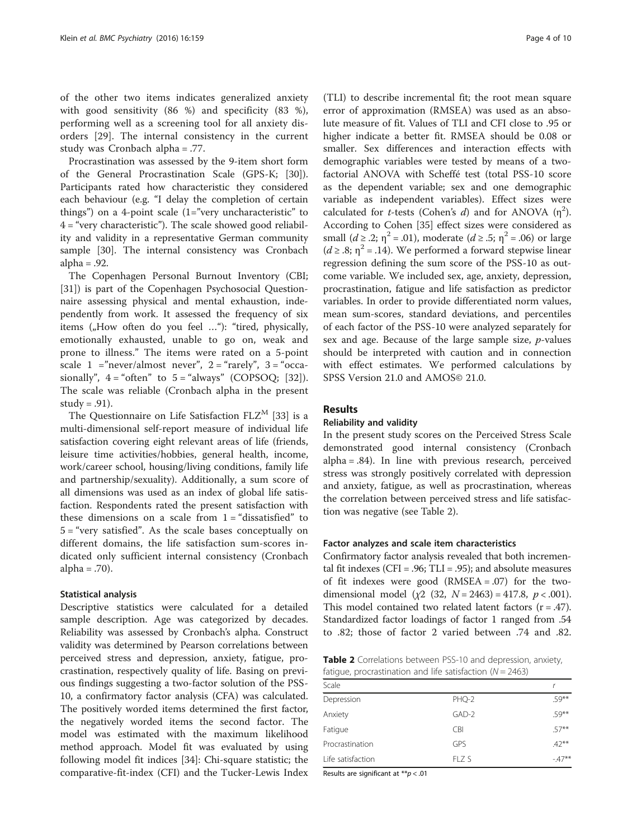of the other two items indicates generalized anxiety with good sensitivity (86 %) and specificity (83 %), performing well as a screening tool for all anxiety disorders [[29](#page-8-0)]. The internal consistency in the current study was Cronbach alpha = .77.

Procrastination was assessed by the 9-item short form of the General Procrastination Scale (GPS-K; [\[30](#page-8-0)]). Participants rated how characteristic they considered each behaviour (e.g. "I delay the completion of certain things") on a 4-point scale  $(1="sup>every$  uncharacteristic" to  $4 =$  "very characteristic"). The scale showed good reliability and validity in a representative German community sample [[30](#page-8-0)]. The internal consistency was Cronbach alpha  $= .92$ .

The Copenhagen Personal Burnout Inventory (CBI; [[31\]](#page-8-0)) is part of the Copenhagen Psychosocial Questionnaire assessing physical and mental exhaustion, independently from work. It assessed the frequency of six items ("How often do you feel  $\ldots$ "): "tired, physically, emotionally exhausted, unable to go on, weak and prone to illness." The items were rated on a 5-point scale  $1 =$ "never/almost never",  $2 =$ "rarely",  $3 =$ "occasionally",  $4 =$  "often" to  $5 =$  "always" (COPSOO; [[32\]](#page-8-0)). The scale was reliable (Cronbach alpha in the present study =  $.91$ ).

The Questionnaire on Life Satisfaction  $FLZ<sup>M</sup>$  [[33\]](#page-8-0) is a multi-dimensional self-report measure of individual life satisfaction covering eight relevant areas of life (friends, leisure time activities/hobbies, general health, income, work/career school, housing/living conditions, family life and partnership/sexuality). Additionally, a sum score of all dimensions was used as an index of global life satisfaction. Respondents rated the present satisfaction with these dimensions on a scale from  $1 =$  "dissatisfied" to 5 = "very satisfied". As the scale bases conceptually on different domains, the life satisfaction sum-scores indicated only sufficient internal consistency (Cronbach alpha  $= .70$ ).

#### Statistical analysis

Descriptive statistics were calculated for a detailed sample description. Age was categorized by decades. Reliability was assessed by Cronbach's alpha. Construct validity was determined by Pearson correlations between perceived stress and depression, anxiety, fatigue, procrastination, respectively quality of life. Basing on previous findings suggesting a two-factor solution of the PSS-10, a confirmatory factor analysis (CFA) was calculated. The positively worded items determined the first factor, the negatively worded items the second factor. The model was estimated with the maximum likelihood method approach. Model fit was evaluated by using following model fit indices [[34\]](#page-8-0): Chi-square statistic; the comparative-fit-index (CFI) and the Tucker-Lewis Index

(TLI) to describe incremental fit; the root mean square error of approximation (RMSEA) was used as an absolute measure of fit. Values of TLI and CFI close to .95 or higher indicate a better fit. RMSEA should be 0.08 or smaller. Sex differences and interaction effects with demographic variables were tested by means of a twofactorial ANOVA with Scheffé test (total PSS-10 score as the dependent variable; sex and one demographic variable as independent variables). Effect sizes were calculated for *t*-tests (Cohen's d) and for ANOVA  $(\eta^2)$ . According to Cohen [[35](#page-8-0)] effect sizes were considered as small  $(d \ge 0.2; \eta^2 = 0.01)$ , moderate  $(d \ge 0.5; \eta^2 = 0.06)$  or large ( $d \ge 0.8$ ;  $\eta^2 = 0.14$ ). We performed a forward stepwise linear regression defining the sum score of the PSS-10 as outcome variable. We included sex, age, anxiety, depression, procrastination, fatigue and life satisfaction as predictor variables. In order to provide differentiated norm values, mean sum-scores, standard deviations, and percentiles of each factor of the PSS-10 were analyzed separately for sex and age. Because of the large sample size, p-values should be interpreted with caution and in connection with effect estimates. We performed calculations by SPSS Version 21.0 and AMOS© 21.0.

#### Results

## Reliability and validity

In the present study scores on the Perceived Stress Scale demonstrated good internal consistency (Cronbach alpha = .84). In line with previous research, perceived stress was strongly positively correlated with depression and anxiety, fatigue, as well as procrastination, whereas the correlation between perceived stress and life satisfaction was negative (see Table 2).

### Factor analyzes and scale item characteristics

Confirmatory factor analysis revealed that both incremental fit indexes (CFI = .96; TLI = .95); and absolute measures of fit indexes were good  $(RMSEA = .07)$  for the twodimensional model ( $\chi$ 2 (32,  $N = 2463$ ) = 417.8,  $p < .001$ ). This model contained two related latent factors  $(r = .47)$ . Standardized factor loadings of factor 1 ranged from .54 to .82; those of factor 2 varied between .74 and .82.

Table 2 Correlations between PSS-10 and depression, anxiety, fatigue, procrastination and life satisfaction ( $N = 2463$ )

| Scale             |            |          |
|-------------------|------------|----------|
| Depression        | PHO-2      | $.59***$ |
| Anxiety           | $GAD-2$    | $59**$   |
| Fatigue           | <b>CBI</b> | $.57***$ |
| Procrastination   | GPS        | $.42***$ |
| Life satisfaction | $FI$ $7S$  | $-47**$  |

Results are significant at  $**p < .01$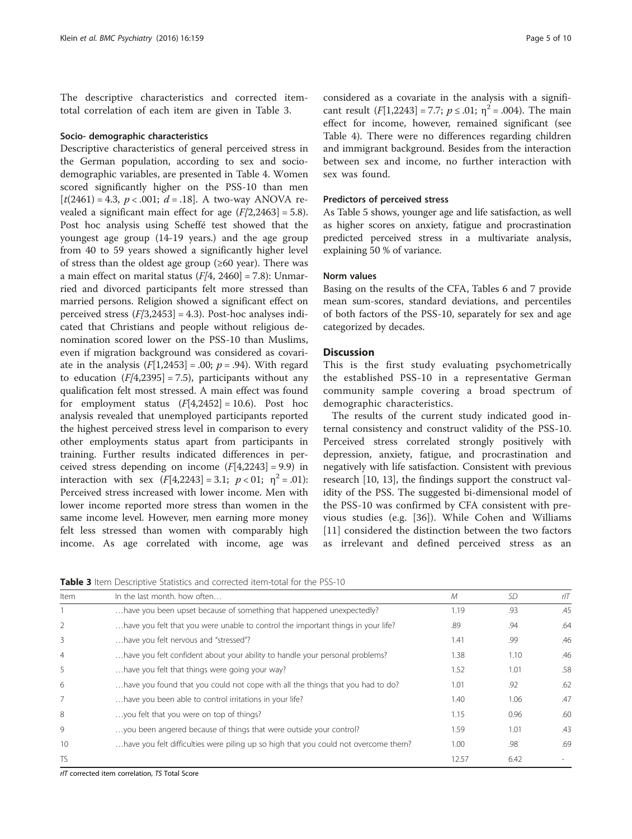The descriptive characteristics and corrected itemtotal correlation of each item are given in Table 3.

#### Socio- demographic characteristics

Descriptive characteristics of general perceived stress in the German population, according to sex and sociodemographic variables, are presented in Table [4](#page-5-0). Women scored significantly higher on the PSS-10 than men  $[t(2461) = 4.3, p < .001; d = .18]$ . A two-way ANOVA revealed a significant main effect for age  $(F/2,2463] = 5.8$ ). Post hoc analysis using Scheffé test showed that the youngest age group (14-19 years.) and the age group from 40 to 59 years showed a significantly higher level of stress than the oldest age group  $(\geq 60 \text{ year})$ . There was a main effect on marital status  $(F/4, 2460] = 7.8$ ): Unmarried and divorced participants felt more stressed than married persons. Religion showed a significant effect on perceived stress  $(F[3,2453] = 4.3)$ . Post-hoc analyses indicated that Christians and people without religious denomination scored lower on the PSS-10 than Muslims, even if migration background was considered as covariate in the analysis  $(F[1,2453] = .00; p = .94)$ . With regard to education  $(F/4,2395] = 7.5$ , participants without any qualification felt most stressed. A main effect was found for employment status  $(F[4,2452] = 10.6)$ . Post hoc analysis revealed that unemployed participants reported the highest perceived stress level in comparison to every other employments status apart from participants in training. Further results indicated differences in perceived stress depending on income  $(F[4,2243] = 9.9)$  in interaction with sex  $(F[4,2243] = 3.1; p < 01; \eta^2 = .01)$ : Perceived stress increased with lower income. Men with lower income reported more stress than women in the same income level. However, men earning more money felt less stressed than women with comparably high income. As age correlated with income, age was

considered as a covariate in the analysis with a significant result  $(F[1,2243] = 7.7; p \le .01; \eta^2 = .004)$ . The main effect for income, however, remained significant (see Table [4](#page-5-0)). There were no differences regarding children and immigrant background. Besides from the interaction between sex and income, no further interaction with sex was found.

#### Predictors of perceived stress

As Table [5](#page-6-0) shows, younger age and life satisfaction, as well as higher scores on anxiety, fatigue and procrastination predicted perceived stress in a multivariate analysis, explaining 50 % of variance.

#### Norm values

Basing on the results of the CFA, Tables [6](#page-6-0) and [7](#page-6-0) provide mean sum-scores, standard deviations, and percentiles of both factors of the PSS-10, separately for sex and age categorized by decades.

#### **Discussion**

This is the first study evaluating psychometrically the established PSS-10 in a representative German community sample covering a broad spectrum of demographic characteristics.

The results of the current study indicated good internal consistency and construct validity of the PSS-10. Perceived stress correlated strongly positively with depression, anxiety, fatigue, and procrastination and negatively with life satisfaction. Consistent with previous research [\[10](#page-8-0), [13](#page-8-0)], the findings support the construct validity of the PSS. The suggested bi-dimensional model of the PSS-10 was confirmed by CFA consistent with previous studies (e.g. [\[36](#page-8-0)]). While Cohen and Williams [[11](#page-8-0)] considered the distinction between the two factors as irrelevant and defined perceived stress as an

Table 3 Item Descriptive Statistics and corrected item-total for the PSS-10

| Item           | In the last month, how often                                                        | М     | SD.  | rIT |
|----------------|-------------------------------------------------------------------------------------|-------|------|-----|
|                | have you been upset because of something that happened unexpectedly?                | 1.19  | .93  | .45 |
| 2              | have you felt that you were unable to control the important things in your life?    | .89   | .94  | .64 |
| 3              | have you felt nervous and "stressed"?                                               | 1.41  | .99  | .46 |
| $\overline{4}$ | have you felt confident about your ability to handle your personal problems?        | 1.38  | 1.10 | .46 |
| 5              | have you felt that things were going your way?                                      | 1.52  | 1.01 | .58 |
| 6              | have you found that you could not cope with all the things that you had to do?      | 1.01  | .92  | .62 |
| 7              | have you been able to control irritations in your life?                             | 1.40  | 1.06 | .47 |
| 8              | you felt that you were on top of things?                                            | 1.15  | 0.96 | .60 |
| 9              | you been angered because of things that were outside your control?                  | 1.59  | 1.01 | .43 |
| 10             | have you felt difficulties were piling up so high that you could not overcome them? | 1.00  | .98  | .69 |
| <b>TS</b>      |                                                                                     | 12.57 | 6.42 |     |

rIT corrected item correlation, TS Total Score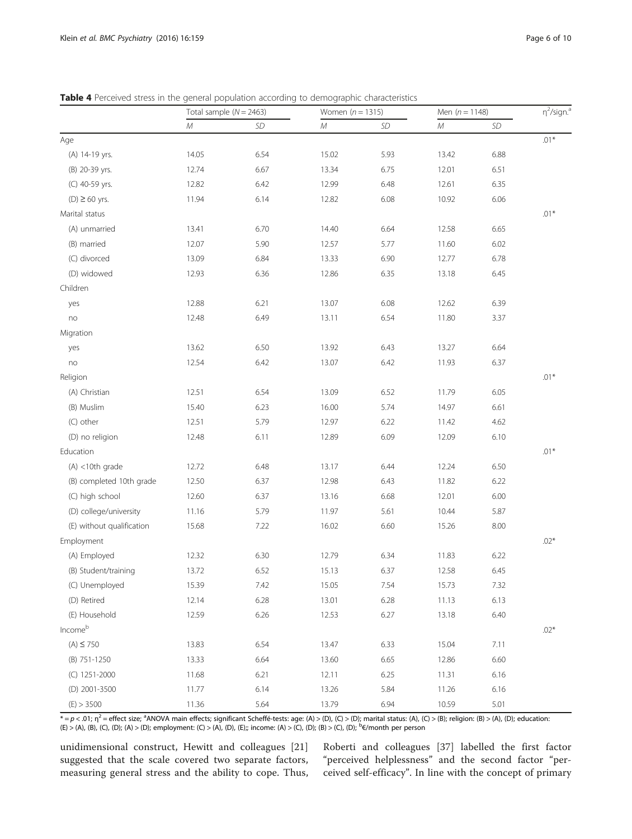|                           | Total sample ( $N = 2463$ ) |      | Women $(n = 1315)$ |           | Men $(n = 1148)$ |           | $\eta^2$ /sign. <sup>a</sup> |
|---------------------------|-----------------------------|------|--------------------|-----------|------------------|-----------|------------------------------|
|                           | ${\cal M}$                  | SD   | ${\cal M}$         | <b>SD</b> | М                | $\cal SD$ |                              |
| Age                       |                             |      |                    |           |                  |           | $.01*$                       |
| (A) 14-19 yrs.            | 14.05                       | 6.54 | 15.02              | 5.93      | 13.42            | 6.88      |                              |
| (B) 20-39 yrs.            | 12.74                       | 6.67 | 13.34              | 6.75      | 12.01            | 6.51      |                              |
| (C) 40-59 yrs.            | 12.82                       | 6.42 | 12.99              | 6.48      | 12.61            | 6.35      |                              |
| $(D) \ge 60$ yrs.         | 11.94                       | 6.14 | 12.82              | 6.08      | 10.92            | 6.06      |                              |
| Marital status            |                             |      |                    |           |                  |           | $.01*$                       |
| (A) unmarried             | 13.41                       | 6.70 | 14.40              | 6.64      | 12.58            | 6.65      |                              |
| (B) married               | 12.07                       | 5.90 | 12.57              | 5.77      | 11.60            | 6.02      |                              |
| (C) divorced              | 13.09                       | 6.84 | 13.33              | 6.90      | 12.77            | 6.78      |                              |
| (D) widowed               | 12.93                       | 6.36 | 12.86              | 6.35      | 13.18            | 6.45      |                              |
| Children                  |                             |      |                    |           |                  |           |                              |
| yes                       | 12.88                       | 6.21 | 13.07              | 6.08      | 12.62            | 6.39      |                              |
| no                        | 12.48                       | 6.49 | 13.11              | 6.54      | 11.80            | 3.37      |                              |
| Migration                 |                             |      |                    |           |                  |           |                              |
| yes                       | 13.62                       | 6.50 | 13.92              | 6.43      | 13.27            | 6.64      |                              |
| no                        | 12.54                       | 6.42 | 13.07              | 6.42      | 11.93            | 6.37      |                              |
| Religion                  |                             |      |                    |           |                  |           | $.01*$                       |
| (A) Christian             | 12.51                       | 6.54 | 13.09              | 6.52      | 11.79            | 6.05      |                              |
| (B) Muslim                | 15.40                       | 6.23 | 16.00              | 5.74      | 14.97            | 6.61      |                              |
| (C) other                 | 12.51                       | 5.79 | 12.97              | 6.22      | 11.42            | 4.62      |                              |
| (D) no religion           | 12.48                       | 6.11 | 12.89              | 6.09      | 12.09            | 6.10      |                              |
| Education                 |                             |      |                    |           |                  |           | $.01*$                       |
| $(A)$ <10th grade         | 12.72                       | 6.48 | 13.17              | 6.44      | 12.24            | 6.50      |                              |
| (B) completed 10th grade  | 12.50                       | 6.37 | 12.98              | 6.43      | 11.82            | 6.22      |                              |
| (C) high school           | 12.60                       | 6.37 | 13.16              | 6.68      | 12.01            | 6.00      |                              |
| (D) college/university    | 11.16                       | 5.79 | 11.97              | 5.61      | 10.44            | 5.87      |                              |
| (E) without qualification | 15.68                       | 7.22 | 16.02              | 6.60      | 15.26            | 8.00      |                              |
| Employment                |                             |      |                    |           |                  |           | $.02*$                       |
| (A) Employed              | 12.32                       | 6.30 | 12.79              | 6.34      | 11.83            | 6.22      |                              |
| (B) Student/training      | 13.72                       | 6.52 | 15.13              | 6.37      | 12.58            | 6.45      |                              |
| (C) Unemployed            | 15.39                       | 7.42 | 15.05              | 7.54      | 15.73            | 7.32      |                              |
| (D) Retired               | 12.14                       | 6.28 | 13.01              | 6.28      | 11.13            | 6.13      |                              |
| (E) Household             | 12.59                       | 6.26 | 12.53              | 6.27      | 13.18            | 6.40      |                              |
| Incomeb                   |                             |      |                    |           |                  |           | $.02*$                       |
| $(A) \le 750$             | 13.83                       | 6.54 | 13.47              | 6.33      | 15.04            | 7.11      |                              |
| (B) 751-1250              | 13.33                       | 6.64 | 13.60              | 6.65      | 12.86            | 6.60      |                              |
| (C) 1251-2000             | 11.68                       | 6.21 | 12.11              | 6.25      | 11.31            | 6.16      |                              |
| (D) 2001-3500             | 11.77                       | 6.14 | 13.26              | 5.84      | 11.26            | 6.16      |                              |
| (E) > 3500                | 11.36                       | 5.64 | 13.79              | 6.94      | 10.59            | 5.01      |                              |

<span id="page-5-0"></span>Table 4 Perceived stress in the general population according to demographic characteristics

 $* = p < .01;$   $\eta^2 =$  effect size;  ${}^3$ ANOVA main effects; significant Scheffé-tests: age: (A) > (D), (C) > (D); marital status: (A), (C) > (B); religion: (B) > (A), (D); education (E) > (A), (B), (C), (D); (A) > (D); employment: (C) > (A), (D), (E);; income: (A) > (C), (D); (B) > (C), (D); <sup>b</sup> €/month per person

unidimensional construct, Hewitt and colleagues [\[21](#page-8-0)] suggested that the scale covered two separate factors, measuring general stress and the ability to cope. Thus, Roberti and colleagues [[37\]](#page-8-0) labelled the first factor "perceived helplessness" and the second factor "perceived self-efficacy". In line with the concept of primary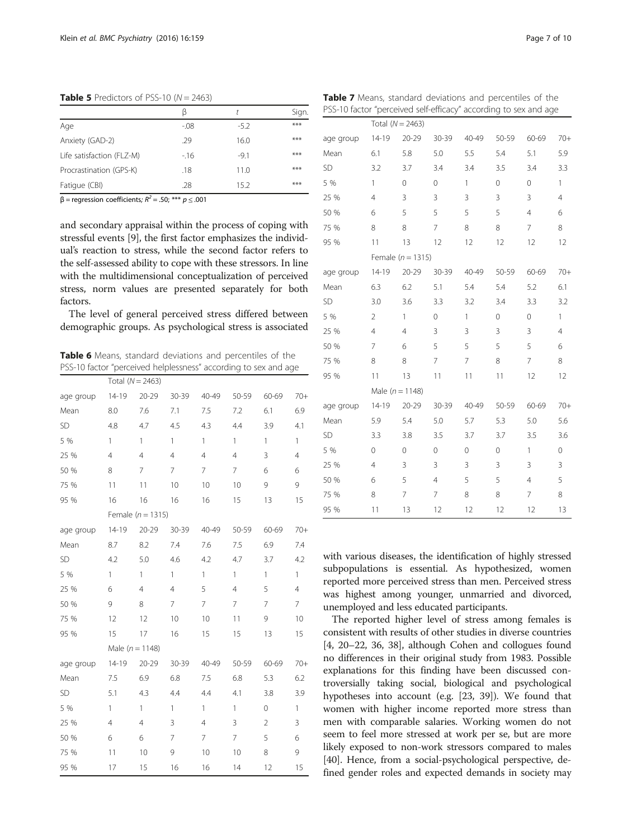$\beta$  t Sign. Age -.08 -5.2 \*\*\*

<span id="page-6-0"></span>**Table 5** Predictors of PSS-10 ( $N = 2463$ )

Anxiety (GAD-2) .29 .29 16.0 \*\*\* Life satisfaction (FLZ-M)  $-16$   $-9.1$  \*\*\* Procrastination (GPS-K) .18 11.0 \*\*\* Fatigue (CBI) .28 15.2 \*\*\*

 $β = regression coefficients; R<sup>2</sup> = .50; *** p ≤ .001$ 

and secondary appraisal within the process of coping with stressful events [\[9](#page-8-0)], the first factor emphasizes the individual's reaction to stress, while the second factor refers to the self-assessed ability to cope with these stressors. In line with the multidimensional conceptualization of perceived stress, norm values are presented separately for both factors.

The level of general perceived stress differed between demographic groups. As psychological stress is associated

Table 6 Means, standard deviations and percentiles of the PSS-10 factor "perceived helplessness" according to sex and age

|           | Total $(N = 2463)$  |                       |                |                |                |                |                |
|-----------|---------------------|-----------------------|----------------|----------------|----------------|----------------|----------------|
| age group | $14 - 19$           | 20-29                 | 30-39          | 40-49          | 50-59          | 60-69          | $70+$          |
| Mean      | 8.0                 | 7.6                   | 7.1            | 7.5            | 7.2            | 6.1            | 6.9            |
| SD        | 4.8                 | 4.7                   | 4.5            | 4.3            | 4.4            | 3.9            | 4.1            |
| 5 %       | 1                   | $\mathbf{1}$          | $\mathbf{1}$   | $\mathbf{1}$   | $\mathbf{1}$   | $\mathbf{1}$   | $\mathbf{1}$   |
| 25 %      | 4                   | 4                     | $\overline{4}$ | $\overline{4}$ | $\overline{4}$ | 3              | $\overline{4}$ |
| 50 %      | 8                   | $\overline{7}$        | 7              | $\overline{7}$ | $\overline{7}$ | 6              | 6              |
| 75 %      | 11                  | 11                    | 10             | 10             | 10             | 9              | 9              |
| 95 %      | 16                  | 16                    | 16             | 16             | 15             | 13             | 15             |
|           |                     | Female ( $n = 1315$ ) |                |                |                |                |                |
| age group | $14-19$             | $20 - 29$             | 30-39          | 40-49          | 50-59          | 60-69          | $70+$          |
| Mean      | 8.7                 | 8.2                   | 7.4            | 7.6            | 7.5            | 6.9            | 7.4            |
| SD        | 4.2                 | 5.0                   | 4.6            | 4.2            | 4.7            | 3.7            | 4.2            |
| 5 %       | $\mathbf{1}$        | $\mathbf{1}$          | 1              | $\mathbf{1}$   | 1              | 1              | $\mathbf{1}$   |
| 25 %      | 6                   | $\overline{4}$        | $\overline{4}$ | 5              | $\overline{4}$ | 5              | $\overline{4}$ |
| 50 %      | 9                   | 8                     | 7              | $\overline{7}$ | 7              | 7              | $\overline{7}$ |
| 75 %      | 12                  | 12                    | 10             | 10             | 11             | 9              | 10             |
| 95 %      | 15                  | 17                    | 16             | 15             | 15             | 13             | 15             |
|           | Male ( $n = 1148$ ) |                       |                |                |                |                |                |
| age group | 14-19               | $20 - 29$             | 30-39          | 40-49          | 50-59          | 60-69          | $70+$          |
| Mean      | 7.5                 | 6.9                   | 6.8            | 7.5            | 6.8            | 5.3            | 6.2            |
| SD        | 5.1                 | 4.3                   | 4.4            | 4.4            | 4.1            | 3.8            | 3.9            |
| 5 %       | 1                   | $\mathbf{1}$          | $\mathbf{1}$   | $\mathbf{1}$   | $\mathbf{1}$   | $\overline{0}$ | $\mathbf{1}$   |
| 25 %      | $\overline{4}$      | $\overline{4}$        | 3              | $\overline{4}$ | 3              | $\overline{2}$ | 3              |
| 50 %      | 6                   | 6                     | $\overline{7}$ | $\overline{7}$ | $\overline{7}$ | 5              | 6              |
| 75 %      | 11                  | 10                    | 9              | 10             | 10             | 8              | 9              |
| 95 %      | 17                  | 15                    | 16             | 16             | 14             | 12             | 15             |

| i su nación percenteu sen emeacy according to sex and age |                |                       |                |             |             |                |                |
|-----------------------------------------------------------|----------------|-----------------------|----------------|-------------|-------------|----------------|----------------|
|                                                           |                | Total ( $N = 2463$ )  |                |             |             |                |                |
| age group                                                 | $14 - 19$      | $20 - 29$             | 30-39          | 40-49       | 50-59       | 60-69          | $70+$          |
| Mean                                                      | 6.1            | 5.8                   | 5.0            | 5.5         | 5.4         | 5.1            | 5.9            |
| SD                                                        | 3.2            | 3.7                   | 3.4            | 3.4         | 3.5         | 3.4            | 3.3            |
| 5 %                                                       | 1              | $\mathbf 0$           | 0              | 1           | $\mathbf 0$ | 0              | $\mathbf{1}$   |
| 25 %                                                      | $\overline{4}$ | 3                     | 3              | 3           | 3           | 3              | $\overline{4}$ |
| 50 %                                                      | 6              | 5                     | 5              | 5           | 5           | $\overline{4}$ | 6              |
| 75 %                                                      | 8              | 8                     | 7              | 8           | 8           | $\overline{7}$ | 8              |
| 95 %                                                      | 11             | 13                    | 12             | 12          | 12          | 12             | 12             |
|                                                           |                | Female ( $n = 1315$ ) |                |             |             |                |                |
| age group                                                 | $14-19$        | 20-29                 | 30-39          | 40-49       | 50-59       | 60-69          | $70+$          |
| Mean                                                      | 6.3            | 6.2                   | 5.1            | 5.4         | 5.4         | 5.2            | 6.1            |
| SD                                                        | 3.0            | 3.6                   | 3.3            | 3.2         | 3.4         | 3.3            | 3.2            |
| 5 %                                                       | $\overline{2}$ | $\mathbf{1}$          | 0              | 1           | 0           | 0              | $\mathbf{1}$   |
| 25 %                                                      | $\overline{4}$ | $\overline{4}$        | 3              | 3           | 3           | 3              | $\overline{4}$ |
| 50 %                                                      | $\overline{7}$ | 6                     | 5              | 5           | 5           | 5              | 6              |
| 75 %                                                      | 8              | 8                     | 7              | 7           | 8           | 7              | 8              |
| 95 %                                                      | 11             | 13                    | 11             | 11          | 11          | 12             | 12             |
|                                                           |                | Male ( $n = 1148$ )   |                |             |             |                |                |
| age group                                                 | $14-19$        | $20 - 29$             | 30-39          | 40-49       | 50-59       | 60-69          | $70+$          |
| Mean                                                      | 5.9            | 5.4                   | 5.0            | 5.7         | 5.3         | 5.0            | 5.6            |
| SD                                                        | 3.3            | 3.8                   | 3.5            | 3.7         | 3.7         | 3.5            | 3.6            |
| 5 %                                                       | $\mathbf 0$    | 0                     | 0              | $\mathbf 0$ | 0           | 1              | 0              |
| 25 %                                                      | $\overline{4}$ | 3                     | 3              | 3           | 3           | 3              | 3              |
| 50 %                                                      | 6              | 5                     | $\overline{4}$ | 5           | 5           | $\overline{4}$ | 5              |
| 75 %                                                      | 8              | 7                     | 7              | 8           | 8           | 7              | 8              |
| 95 %                                                      | 11             | 13                    | 12             | 12          | 12          | 12             | 13             |

with various diseases, the identification of highly stressed subpopulations is essential. As hypothesized, women reported more perceived stress than men. Perceived stress was highest among younger, unmarried and divorced, unemployed and less educated participants.

The reported higher level of stress among females is consistent with results of other studies in diverse countries [[4, 20](#page-8-0)–[22, 36, 38\]](#page-8-0), although Cohen and collogues found no differences in their original study from 1983. Possible explanations for this finding have been discussed controversially taking social, biological and psychological hypotheses into account (e.g. [[23](#page-8-0), [39\]](#page-8-0)). We found that women with higher income reported more stress than men with comparable salaries. Working women do not seem to feel more stressed at work per se, but are more likely exposed to non-work stressors compared to males [[40](#page-8-0)]. Hence, from a social-psychological perspective, defined gender roles and expected demands in society may

|  |  | <b>Table 7</b> Means, standard deviations and percentiles of the |  |
|--|--|------------------------------------------------------------------|--|
|  |  | PSS-10 factor "perceived self-efficacy" according to sex and age |  |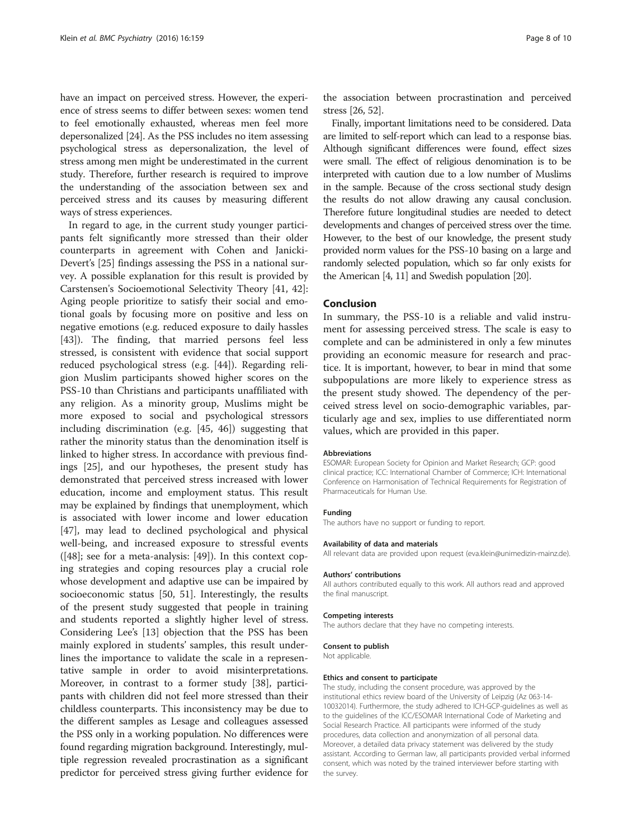have an impact on perceived stress. However, the experience of stress seems to differ between sexes: women tend to feel emotionally exhausted, whereas men feel more depersonalized [[24](#page-8-0)]. As the PSS includes no item assessing psychological stress as depersonalization, the level of stress among men might be underestimated in the current study. Therefore, further research is required to improve the understanding of the association between sex and perceived stress and its causes by measuring different ways of stress experiences.

In regard to age, in the current study younger participants felt significantly more stressed than their older counterparts in agreement with Cohen and Janicki-Devert's [\[25](#page-8-0)] findings assessing the PSS in a national survey. A possible explanation for this result is provided by Carstensen's Socioemotional Selectivity Theory [[41](#page-8-0), [42](#page-8-0)]: Aging people prioritize to satisfy their social and emotional goals by focusing more on positive and less on negative emotions (e.g. reduced exposure to daily hassles [[43\]](#page-8-0)). The finding, that married persons feel less stressed, is consistent with evidence that social support reduced psychological stress (e.g. [[44\]](#page-8-0)). Regarding religion Muslim participants showed higher scores on the PSS-10 than Christians and participants unaffiliated with any religion. As a minority group, Muslims might be more exposed to social and psychological stressors including discrimination (e.g. [[45, 46\]](#page-8-0)) suggesting that rather the minority status than the denomination itself is linked to higher stress. In accordance with previous findings [[25\]](#page-8-0), and our hypotheses, the present study has demonstrated that perceived stress increased with lower education, income and employment status. This result may be explained by findings that unemployment, which is associated with lower income and lower education [[47\]](#page-9-0), may lead to declined psychological and physical well-being, and increased exposure to stressful events ([\[48\]](#page-9-0); see for a meta-analysis: [\[49](#page-9-0)]). In this context coping strategies and coping resources play a crucial role whose development and adaptive use can be impaired by socioeconomic status [[50, 51](#page-9-0)]. Interestingly, the results of the present study suggested that people in training and students reported a slightly higher level of stress. Considering Lee's [\[13](#page-8-0)] objection that the PSS has been mainly explored in students' samples, this result underlines the importance to validate the scale in a representative sample in order to avoid misinterpretations. Moreover, in contrast to a former study [[38\]](#page-8-0), participants with children did not feel more stressed than their childless counterparts. This inconsistency may be due to the different samples as Lesage and colleagues assessed the PSS only in a working population. No differences were found regarding migration background. Interestingly, multiple regression revealed procrastination as a significant predictor for perceived stress giving further evidence for

the association between procrastination and perceived stress [[26](#page-8-0), [52](#page-9-0)].

Finally, important limitations need to be considered. Data are limited to self-report which can lead to a response bias. Although significant differences were found, effect sizes were small. The effect of religious denomination is to be interpreted with caution due to a low number of Muslims in the sample. Because of the cross sectional study design the results do not allow drawing any causal conclusion. Therefore future longitudinal studies are needed to detect developments and changes of perceived stress over the time. However, to the best of our knowledge, the present study provided norm values for the PSS-10 basing on a large and randomly selected population, which so far only exists for the American [\[4](#page-8-0), [11](#page-8-0)] and Swedish population [\[20\]](#page-8-0).

### Conclusion

In summary, the PSS-10 is a reliable and valid instrument for assessing perceived stress. The scale is easy to complete and can be administered in only a few minutes providing an economic measure for research and practice. It is important, however, to bear in mind that some subpopulations are more likely to experience stress as the present study showed. The dependency of the perceived stress level on socio-demographic variables, particularly age and sex, implies to use differentiated norm values, which are provided in this paper.

#### Abbreviations

ESOMAR: European Society for Opinion and Market Research; GCP: good clinical practice; ICC: International Chamber of Commerce; ICH: International Conference on Harmonisation of Technical Requirements for Registration of Pharmaceuticals for Human Use.

#### Funding

The authors have no support or funding to report.

#### Availability of data and materials

All relevant data are provided upon request (eva.klein@unimedizin-mainz.de).

#### Authors' contributions

All authors contributed equally to this work. All authors read and approved the final manuscript.

#### Competing interests

The authors declare that they have no competing interests.

#### Consent to publish

Not applicable.

#### Ethics and consent to participate

The study, including the consent procedure, was approved by the institutional ethics review board of the University of Leipzig (Az 063-14- 10032014). Furthermore, the study adhered to ICH-GCP-guidelines as well as to the guidelines of the ICC/ESOMAR International Code of Marketing and Social Research Practice. All participants were informed of the study procedures, data collection and anonymization of all personal data. Moreover, a detailed data privacy statement was delivered by the study assistant. According to German law, all participants provided verbal informed consent, which was noted by the trained interviewer before starting with the survey.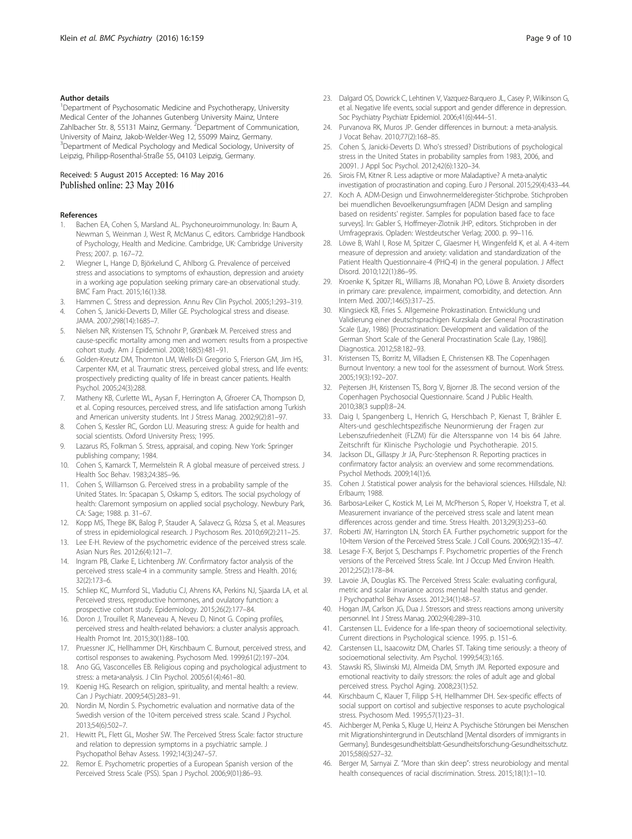#### <span id="page-8-0"></span>Author details

<sup>1</sup>Department of Psychosomatic Medicine and Psychotherapy, University Medical Center of the Johannes Gutenberg University Mainz, Untere Zahlbacher Str. 8, 55131 Mainz, Germany. <sup>2</sup>Department of Communication, University of Mainz, Jakob-Welder-Weg 12, 55099 Mainz, Germany. <sup>3</sup>Department of Medical Psychology and Medical Sociology, University of Leipzig, Philipp-Rosenthal-Straße 55, 04103 Leipzig, Germany.

#### Received: 5 August 2015 Accepted: 16 May 2016 Published online: 23 May 2016

#### References

- 1. Bachen EA, Cohen S, Marsland AL. Psychoneuroimmunology. In: Baum A, Newman S, Weinman J, West R, McManus C, editors. Cambridge Handbook of Psychology, Health and Medicine. Cambridge, UK: Cambridge University Press; 2007. p. 167–72.
- 2. Wiegner L, Hange D, Björkelund C, Ahlborg G. Prevalence of perceived stress and associations to symptoms of exhaustion, depression and anxiety in a working age population seeking primary care-an observational study. BMC Fam Pract. 2015;16(1):38.
- Hammen C. Stress and depression. Annu Rev Clin Psychol. 2005;1:293-319.
- 4. Cohen S, Janicki-Deverts D, Miller GE. Psychological stress and disease. JAMA. 2007;298(14):1685–7.
- 5. Nielsen NR, Kristensen TS, Schnohr P, Grønbæk M. Perceived stress and cause-specific mortality among men and women: results from a prospective cohort study. Am J Epidemiol. 2008;168(5):481–91.
- 6. Golden-Kreutz DM, Thornton LM, Wells-Di Gregorio S, Frierson GM, Jim HS, Carpenter KM, et al. Traumatic stress, perceived global stress, and life events: prospectively predicting quality of life in breast cancer patients. Health Psychol. 2005;24(3):288.
- 7. Matheny KB, Curlette WL, Aysan F, Herrington A, Gfroerer CA, Thompson D, et al. Coping resources, perceived stress, and life satisfaction among Turkish and American university students. Int J Stress Manag. 2002;9(2):81–97.
- 8. Cohen S, Kessler RC, Gordon LU. Measuring stress: A guide for health and social scientists. Oxford University Press; 1995.
- 9. Lazarus RS, Folkman S. Stress, appraisal, and coping. New York: Springer publishing company; 1984.
- 10. Cohen S, Kamarck T, Mermelstein R. A global measure of perceived stress. J Health Soc Behav. 1983;24:385–96.
- 11. Cohen S, Williamson G. Perceived stress in a probability sample of the United States. In: Spacapan S, Oskamp S, editors. The social psychology of health: Claremont symposium on applied social psychology. Newbury Park, CA: Sage; 1988. p. 31–67.
- 12. Kopp MS, Thege BK, Balog P, Stauder A, Salavecz G, Rózsa S, et al. Measures of stress in epidemiological research. J Psychosom Res. 2010;69(2):211–25.
- Lee E-H. Review of the psychometric evidence of the perceived stress scale. Asian Nurs Res. 2012;6(4):121–7.
- 14. Ingram PB, Clarke E, Lichtenberg JW. Confirmatory factor analysis of the perceived stress scale-4 in a community sample. Stress and Health. 2016; 32(2):173–6.
- 15. Schliep KC, Mumford SL, Vladutiu CJ, Ahrens KA, Perkins NJ, Sjaarda LA, et al. Perceived stress, reproductive hormones, and ovulatory function: a prospective cohort study. Epidemiology. 2015;26(2):177–84.
- 16. Doron J, Trouillet R, Maneveau A, Neveu D, Ninot G. Coping profiles, perceived stress and health-related behaviors: a cluster analysis approach. Health Promot Int. 2015;30(1):88–100.
- 17. Pruessner JC, Hellhammer DH, Kirschbaum C. Burnout, perceived stress, and cortisol responses to awakening. Psychosom Med. 1999;61(2):197–204.
- 18. Ano GG, Vasconcelles EB. Religious coping and psychological adjustment to stress: a meta-analysis. J Clin Psychol. 2005;61(4):461-80.
- 19. Koenig HG. Research on religion, spirituality, and mental health: a review. Can J Psychiatr. 2009;54(5):283–91.
- 20. Nordin M, Nordin S. Psychometric evaluation and normative data of the Swedish version of the 10-item perceived stress scale. Scand J Psychol. 2013;54(6):502–7.
- 21. Hewitt PL, Flett GL, Mosher SW. The Perceived Stress Scale: factor structure and relation to depression symptoms in a psychiatric sample. J Psychopathol Behav Assess. 1992;14(3):247–57.
- 22. Remor E. Psychometric properties of a European Spanish version of the Perceived Stress Scale (PSS). Span J Psychol. 2006;9(01):86–93.
- 23. Dalgard OS, Dowrick C, Lehtinen V, Vazquez-Barquero JL, Casey P, Wilkinson G, et al. Negative life events, social support and gender difference in depression. Soc Psychiatry Psychiatr Epidemiol. 2006;41(6):444–51.
- 24. Purvanova RK, Muros JP. Gender differences in burnout: a meta-analysis. J Vocat Behav. 2010;77(2):168–85.
- 25. Cohen S, Janicki-Deverts D. Who's stressed? Distributions of psychological stress in the United States in probability samples from 1983, 2006, and 20091. J Appl Soc Psychol. 2012;42(6):1320–34.
- 26. Sirois FM, Kitner R. Less adaptive or more Maladaptive? A meta-analytic investigation of procrastination and coping. Euro J Personal. 2015;29(4):433–44.
- 27. Koch A. ADM-Design und Einwohnermelderegister-Stichprobe. Stichproben bei muendlichen Bevoelkerungsumfragen [ADM Design and sampling based on residents' register. Samples for population based face to face surveys]. In: Gabler S, Hoffmeyer-Zlotnik JHP, editors. Stichproben in der Umfragepraxis. Opladen: Westdeutscher Verlag; 2000. p. 99–116.
- 28. Löwe B, Wahl I, Rose M, Spitzer C, Glaesmer H, Wingenfeld K, et al. A 4-item measure of depression and anxiety: validation and standardization of the Patient Health Questionnaire-4 (PHQ-4) in the general population. J Affect Disord. 2010;122(1):86–95.
- 29. Kroenke K, Spitzer RL, Williams JB, Monahan PO, Löwe B. Anxiety disorders in primary care: prevalence, impairment, comorbidity, and detection. Ann Intern Med. 2007;146(5):317–25.
- 30. Klingsieck KB, Fries S. Allgemeine Prokrastination. Entwicklung und Validierung einer deutschsprachigen Kurzskala der General Procrastination Scale (Lay, 1986) [Procrastination: Development and validation of the German Short Scale of the General Procrastination Scale (Lay, 1986)]. Diagnostica. 2012;58:182–93.
- 31. Kristensen TS, Borritz M, Villadsen E, Christensen KB. The Copenhagen Burnout Inventory: a new tool for the assessment of burnout. Work Stress. 2005;19(3):192–207.
- 32. Pejtersen JH, Kristensen TS, Borg V, Bjorner JB. The second version of the Copenhagen Psychosocial Questionnaire. Scand J Public Health. 2010;38(3 suppl):8–24.
- 33. Daig I, Spangenberg L, Henrich G, Herschbach P, Kienast T, Brähler E. Alters-und geschlechtspezifische Neunormierung der Fragen zur Lebenszufriedenheit (FLZM) für die Altersspanne von 14 bis 64 Jahre. Zeitschrift für Klinische Psychologie und Psychotherapie. 2015.
- 34. Jackson DL, Gillaspy Jr JA, Purc-Stephenson R. Reporting practices in confirmatory factor analysis: an overview and some recommendations. Psychol Methods. 2009;14(1):6.
- 35. Cohen J. Statistical power analysis for the behavioral sciences. Hillsdale, NJ: Erlbaum; 1988.
- 36. Barbosa-Leiker C, Kostick M, Lei M, McPherson S, Roper V, Hoekstra T, et al. Measurement invariance of the perceived stress scale and latent mean differences across gender and time. Stress Health. 2013;29(3):253–60.
- 37. Roberti JW, Harrington LN, Storch EA. Further psychometric support for the 10-Item Version of the Perceived Stress Scale. J Coll Couns. 2006;9(2):135-47.
- 38. Lesage F-X, Berjot S, Deschamps F. Psychometric properties of the French versions of the Perceived Stress Scale. Int J Occup Med Environ Health. 2012;25(2):178–84.
- 39. Lavoie JA, Douglas KS. The Perceived Stress Scale: evaluating configural, metric and scalar invariance across mental health status and gender. J Psychopathol Behav Assess. 2012;34(1):48–57.
- 40. Hogan JM, Carlson JG, Dua J. Stressors and stress reactions among university personnel. Int J Stress Manag. 2002;9(4):289–310.
- 41. Carstensen LL. Evidence for a life-span theory of socioemotional selectivity. Current directions in Psychological science. 1995. p. 151–6.
- 42. Carstensen LL, Isaacowitz DM, Charles ST. Taking time seriously: a theory of socioemotional selectivity. Am Psychol. 1999;54(3):165.
- 43. Stawski RS, Sliwinski MJ, Almeida DM, Smyth JM. Reported exposure and emotional reactivity to daily stressors: the roles of adult age and global perceived stress. Psychol Aging. 2008;23(1):52.
- 44. Kirschbaum C, Klauer T, Filipp S-H, Hellhammer DH. Sex-specific effects of social support on cortisol and subjective responses to acute psychological stress. Psychosom Med. 1995;57(1):23–31.
- 45. Aichberger M, Penka S, Kluge U, Heinz A. Psychische Störungen bei Menschen mit Migrationshintergrund in Deutschland [Mental disorders of immigrants in Germany]. Bundesgesundheitsblatt-Gesundheitsforschung-Gesundheitsschutz. 2015;58(6):527–32.
- 46. Berger M, Sarnyai Z. "More than skin deep": stress neurobiology and mental health consequences of racial discrimination. Stress. 2015;18(1):1–10.